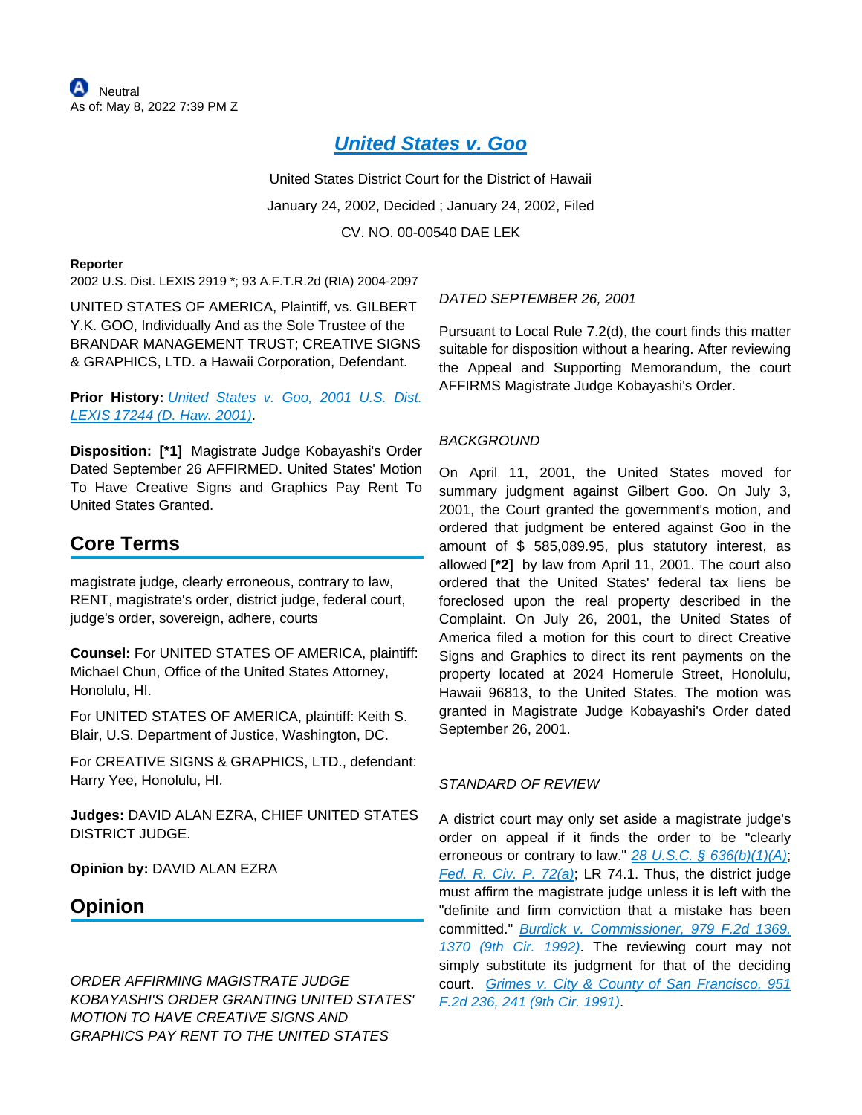# **[United States v. Goo](https://advance.lexis.com/api/document?collection=cases&id=urn:contentItem:457C-JX40-0038-Y18T-00000-00&context=1516831)**

United States District Court for the District of Hawaii January 24, 2002, Decided ; January 24, 2002, Filed CV. NO. 00-00540 DAE LEK

#### **Reporter**

2002 U.S. Dist. LEXIS 2919 \*; 93 A.F.T.R.2d (RIA) 2004-2097

UNITED STATES OF AMERICA, Plaintiff, vs. GILBERT Y.K. GOO, Individually And as the Sole Trustee of the BRANDAR MANAGEMENT TRUST; CREATIVE SIGNS & GRAPHICS, LTD. a Hawaii Corporation, Defendant.

## **Prior History:** [United States v. Goo, 2001 U.S. Dist.](https://advance.lexis.com/api/document?collection=cases&id=urn:contentItem:4498-RV40-0038-Y07R-00000-00&context=1516831)  [LEXIS 17244 \(D. Haw. 2001\)](https://advance.lexis.com/api/document?collection=cases&id=urn:contentItem:4498-RV40-0038-Y07R-00000-00&context=1516831).

**Disposition: [\*1]** Magistrate Judge Kobayashi's Order Dated September 26 AFFIRMED. United States' Motion To Have Creative Signs and Graphics Pay Rent To United States Granted.

## **Core Terms**

magistrate judge, clearly erroneous, contrary to law, RENT, magistrate's order, district judge, federal court, judge's order, sovereign, adhere, courts

**Counsel:** For UNITED STATES OF AMERICA, plaintiff: Michael Chun, Office of the United States Attorney, Honolulu, HI.

For UNITED STATES OF AMERICA, plaintiff: Keith S. Blair, U.S. Department of Justice, Washington, DC.

For CREATIVE SIGNS & GRAPHICS, LTD., defendant: Harry Yee, Honolulu, HI.

**Judges:** DAVID ALAN EZRA, CHIEF UNITED STATES DISTRICT JUDGE.

**Opinion by:** DAVID ALAN EZRA

## **Opinion**

ORDER AFFIRMING MAGISTRATE JUDGE KOBAYASHI'S ORDER GRANTING UNITED STATES' MOTION TO HAVE CREATIVE SIGNS AND GRAPHICS PAY RENT TO THE UNITED STATES

## DATED SEPTEMBER 26, 2001

Pursuant to Local Rule 7.2(d), the court finds this matter suitable for disposition without a hearing. After reviewing the Appeal and Supporting Memorandum, the court AFFIRMS Magistrate Judge Kobayashi's Order.

## BACKGROUND

On April 11, 2001, the United States moved for summary judgment against Gilbert Goo. On July 3, 2001, the Court granted the government's motion, and ordered that judgment be entered against Goo in the amount of \$ 585,089.95, plus statutory interest, as allowed **[\*2]** by law from April 11, 2001. The court also ordered that the United States' federal tax liens be foreclosed upon the real property described in the Complaint. On July 26, 2001, the United States of America filed a motion for this court to direct Creative Signs and Graphics to direct its rent payments on the property located at 2024 Homerule Street, Honolulu, Hawaii 96813, to the United States. The motion was granted in Magistrate Judge Kobayashi's Order dated September 26, 2001.

### STANDARD OF REVIEW

A district court may only set aside a magistrate judge's order on appeal if it finds the order to be "clearly erroneous or contrary to law."  $28$  U.S.C. §  $636(b)(1)(A)$ ; [Fed. R. Civ. P. 72\(a\)](https://advance.lexis.com/api/document?collection=statutes-legislation&id=urn:contentItem:5GYC-25Y1-FG36-104X-00000-00&context=1516831); LR 74.1. Thus, the district judge must affirm the magistrate judge unless it is left with the "definite and firm conviction that a mistake has been committed." [Burdick v. Commissioner, 979 F.2d 1369,](https://advance.lexis.com/api/document?collection=cases&id=urn:contentItem:3S4X-0460-008H-V0RH-00000-00&context=1516831)  [1370 \(9th Cir. 1992\)](https://advance.lexis.com/api/document?collection=cases&id=urn:contentItem:3S4X-0460-008H-V0RH-00000-00&context=1516831). The reviewing court may not simply substitute its judgment for that of the deciding court. [Grimes v. City & County of San Francisco, 951](https://advance.lexis.com/api/document?collection=cases&id=urn:contentItem:3S4X-6XS0-008H-V2CG-00000-00&context=1516831)  [F.2d 236, 241 \(9th Cir. 1991\)](https://advance.lexis.com/api/document?collection=cases&id=urn:contentItem:3S4X-6XS0-008H-V2CG-00000-00&context=1516831).